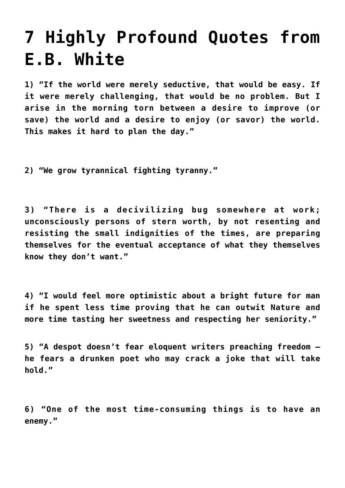## **[7 Highly Profound Quotes from](https://intellectualtakeout.org/2016/04/7-highly-profound-quotes-from-e-b-white/) [E.B. White](https://intellectualtakeout.org/2016/04/7-highly-profound-quotes-from-e-b-white/)**

**1) "If the world were merely seductive, that would be easy. If it were merely challenging, that would be no problem. But I arise in the morning torn between a desire to improve (or save) the world and a desire to enjoy (or savor) the world. This makes it hard to plan the day."**

**2) "We grow tyrannical fighting tyranny."**

**3) "There is a decivilizing bug somewhere at work; unconsciously persons of stern worth, by not resenting and resisting the small indignities of the times, are preparing themselves for the eventual acceptance of what they themselves know they don't want."**

**4) "I would feel more optimistic about a bright future for man if he spent less time proving that he can outwit Nature and more time tasting her sweetness and respecting her seniority."**

**5) "A despot doesn't fear eloquent writers preaching freedom he fears a drunken poet who may crack a joke that will take hold."**

**6) "One of the most time-consuming things is to have an enemy."**